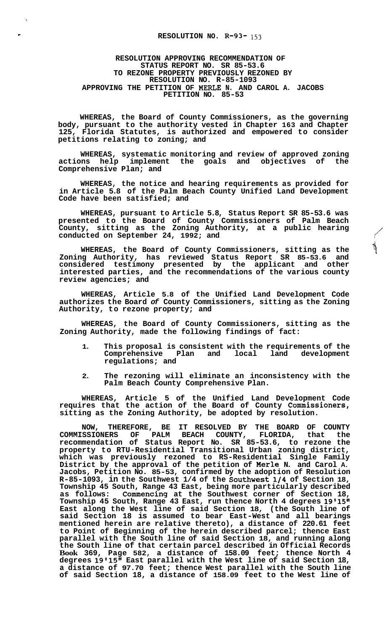$\bar{\mathbf{v}}$ 

## **RESOLUTION APPROVING RECOMMENDATION OF STATUS REPORT NO. SR 85-53.6 TO REZONE PROPERTY PREVIOUSLY REZONED BY RESOLUTION NO. R-85-1093 APPROVING THE PETITION OF MERLE N. AND CAROL A. JACOBS PETITION NO. 85-53**

**WHEREAS, the Board of County Commissioners, as the governing body, pursuant to the authority vested in Chapter 163 and Chapter 125, Florida Statutes, is authorized and empowered to consider petitions relating to zoning; and** 

**WHEREAS, systematic monitoring and review of approved zoning**  actions help implement the goals and objectives of **Comprehensive Plan; and** 

**WHEREAS, the notice and hearing requirements as provided for in Article 5.8 of the Palm Beach County Unified Land Development Code have been satisfied; and** 

**WHEREAS, pursuant to Article 5.8, Status Report SR 85-53.6 was presented to the Board of County Commissioners of Palm Beach County, sitting as the Zoning Authority, at a public hearing**  minimal personal conducted on September 2011 Commissioners of Palm Beach<br>County, sitting as the Zoning Authority, at a public hearing<br>conducted on September 24, 1992; and

**WHEREAS, the Board of County Commissioners, sitting as the Zoning Authority, has reviewed Status Report SR 85-53.6 and considered testimony presented by the applicant and other interested parties, and the recommendations of the various county review agencies; and** 

**WHEREAS, Article 5.8 of the Unified Land Development Code authorizes the Board** *of* **County Commissioners, sitting as the Zoning Authority, to rezone property; and** 

**WHEREAS, the Board of County Commissioners, sitting as the Zoning Authority, made the following findings of fact:** 

- **1. This proposal is consistent with the requirements of the Comprehensive Plan and local land development regulations; and**
- **2. The rezoning will eliminate an inconsistency with the Palm Beach County Comprehensive Plan.**

**WHEREAS, Article 5 of the Unified Land Development Code requires that the action of the Board of County Commissioners, sitting as the Zoning Authority, be adopted by resolution.** 

**NOW, THEREFORE, BE IT RESOLVED BY THE BOARD OF COUNTY COMMISSIONERS OF PALM BEACH COUNTY, FLORIDA, that the recommendation of Status Report No. SR 85-53.6, to rezone the property to RTU-Residential Transitional Urban zoning district, which was previously rezoned to RS-Residential Single Family District by the approval of the petition of Merle N. and Carol A. Jacobs, Petition No. 85-53, confirmed by the adoption of Resolution R-85-1093, in the Southwest 1/4 of the Southwest1/4 of Section 18, Township 45 South, Range 43 East, being more particularly described as follows: Commencing at the Southwest corner of Section 18, Township 45 South, Range 43 East, run thence North 4 degrees 19'15'' East along the West line of said Section 18, (the South line of said Section 18 is assumed to bear East-West and all bearings mentioned herein are relative thereto), a distance of 220.61 feet to Point of Beginning of the herein described parcel; thence East parallel with the South line of said Section 18, and running along the South line of that certain parcel described in Official Records Book 369, Page 582, a distance of 158.09 feet; thence North 4 degrees 19'15" East parallel with the West line of said Section 18, a distance of 97.70 feet; thence West parallel with the South line of said Section 18, a distance of 158.09 feet to the West line of**